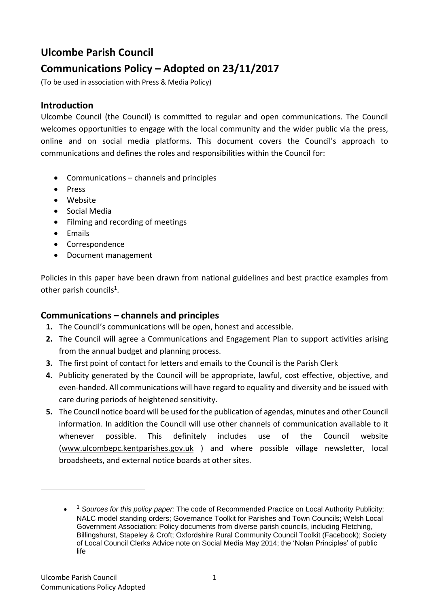# **Ulcombe Parish Council**

# **Communications Policy – Adopted on 23/11/2017**

(To be used in association with Press & Media Policy)

## **Introduction**

Ulcombe Council (the Council) is committed to regular and open communications. The Council welcomes opportunities to engage with the local community and the wider public via the press, online and on social media platforms. This document covers the Council's approach to communications and defines the roles and responsibilities within the Council for:

- Communications channels and principles
- Press
- Website
- **•** Social Media
- Filming and recording of meetings
- Emails
- Correspondence
- Document management

Policies in this paper have been drawn from national guidelines and best practice examples from other parish councils<sup>1</sup>.

### **Communications – channels and principles**

- **1.** The Council's communications will be open, honest and accessible.
- **2.** The Council will agree a Communications and Engagement Plan to support activities arising from the annual budget and planning process.
- **3.** The first point of contact for letters and emails to the Council is the Parish Clerk
- **4.** Publicity generated by the Council will be appropriate, lawful, cost effective, objective, and even-handed. All communications will have regard to equality and diversity and be issued with care during periods of heightened sensitivity.
- **5.** The Council notice board will be used for the publication of agendas, minutes and other Council information. In addition the Council will use other channels of communication available to it whenever possible. This definitely includes use of the Council website [\(www.ulcombepc.kentparishes.gov.uk](http://www.ulcombepc.kentparishes.gov.uk/) ) and where possible village newsletter, local broadsheets, and external notice boards at other sites.

 $\overline{a}$ 

 $\bullet$ <sup>1</sup> *Sources for this policy paper:* The code of Recommended Practice on Local Authority Publicity; NALC model standing orders; Governance Toolkit for Parishes and Town Councils; Welsh Local Government Association; Policy documents from diverse parish councils, including Fletching, Billingshurst, Stapeley & Croft; Oxfordshire Rural Community Council Toolkit (Facebook); Society of Local Council Clerks Advice note on Social Media May 2014; the 'Nolan Principles' of public life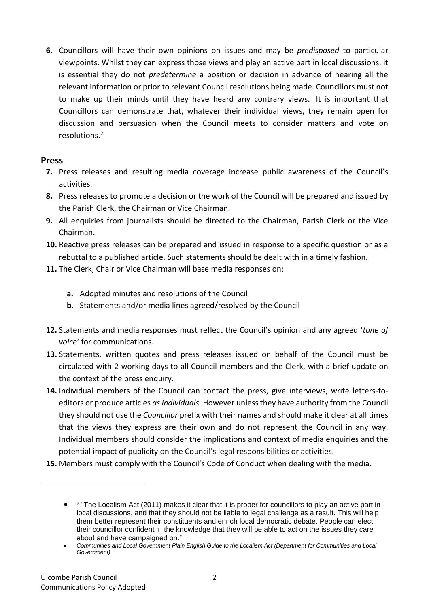**6.** Councillors will have their own opinions on issues and may be *predisposed* to particular viewpoints. Whilst they can express those views and play an active part in local discussions, it is essential they do not *predetermine* a position or decision in advance of hearing all the relevant information or prior to relevant Council resolutions being made. Councillors must not to make up their minds until they have heard any contrary views. It is important that Councillors can demonstrate that, whatever their individual views, they remain open for discussion and persuasion when the Council meets to consider matters and vote on resolutions.<sup>2</sup>

#### **Press**

- **7.** Press releases and resulting media coverage increase public awareness of the Council's activities.
- **8.** Press releases to promote a decision or the work of the Council will be prepared and issued by the Parish Clerk, the Chairman or Vice Chairman.
- **9.** All enquiries from journalists should be directed to the Chairman, Parish Clerk or the Vice Chairman.
- **10.** Reactive press releases can be prepared and issued in response to a specific question or as a rebuttal to a published article. Such statements should be dealt with in a timely fashion.
- **11.** The Clerk, Chair or Vice Chairman will base media responses on:
	- **a.** Adopted minutes and resolutions of the Council
	- **b.** Statements and/or media lines agreed/resolved by the Council
- **12.** Statements and media responses must reflect the Council's opinion and any agreed '*tone of voice'* for communications.
- **13.** Statements, written quotes and press releases issued on behalf of the Council must be circulated with 2 working days to all Council members and the Clerk, with a brief update on the context of the press enquiry.
- **14.** Individual members of the Council can contact the press, give interviews, write letters-toeditors or produce articles *asindividuals.* However unlessthey have authority from the Council they should not use the *Councillor* prefix with their names and should make it clear at all times that the views they express are their own and do not represent the Council in any way. Individual members should consider the implications and context of media enquiries and the potential impact of publicity on the Council's legal responsibilities or activities.
- **15.** Members must comply with the Council's Code of Conduct when dealing with the media.

 $\overline{a}$ 

<sup>• &</sup>lt;sup>2</sup> "The Localism Act (2011) makes it clear that it is proper for councillors to play an active part in local discussions, and that they should not be liable to legal challenge as a result. This will help them better represent their constituents and enrich local democratic debate. People can elect their councillor confident in the knowledge that they will be able to act on the issues they care about and have campaigned on."

*Communities and Local Government Plain English Guide to the Localism Act (Department for Communities and Local Government)*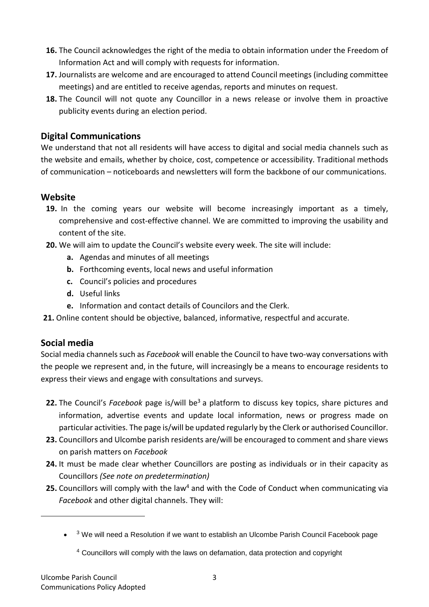- **16.** The Council acknowledges the right of the media to obtain information under the Freedom of Information Act and will comply with requests for information.
- **17.** Journalists are welcome and are encouraged to attend Council meetings (including committee meetings) and are entitled to receive agendas, reports and minutes on request.
- **18.** The Council will not quote any Councillor in a news release or involve them in proactive publicity events during an election period.

## **Digital Communications**

We understand that not all residents will have access to digital and social media channels such as the website and emails, whether by choice, cost, competence or accessibility. Traditional methods of communication – noticeboards and newsletters will form the backbone of our communications.

### **Website**

- **19.** In the coming years our website will become increasingly important as a timely, comprehensive and cost-effective channel. We are committed to improving the usability and content of the site.
- **20.** We will aim to update the Council's website every week. The site will include:
	- **a.** Agendas and minutes of all meetings
	- **b.** Forthcoming events, local news and useful information
	- **c.** Council's policies and procedures
	- **d.** Useful links
	- **e.** Information and contact details of Councilors and the Clerk.
- **21.** Online content should be objective, balanced, informative, respectful and accurate.

### **Social media**

 $\overline{\phantom{a}}$ 

Social media channels such as *Facebook* will enable the Council to have two-way conversations with the people we represent and, in the future, will increasingly be a means to encourage residents to express their views and engage with consultations and surveys.

- **22.** The Council's *Facebook* page is/will be<sup>3</sup> a platform to discuss key topics, share pictures and information, advertise events and update local information, news or progress made on particular activities. The page is/will be updated regularly by the Clerk or authorised Councillor.
- **23.** Councillors and Ulcombe parish residents are/will be encouraged to comment and share views on parish matters on *Facebook*
- **24.** It must be made clear whether Councillors are posting as individuals or in their capacity as Councillors *(See note on predetermination)*
- **25.** Councillors will comply with the law<sup>4</sup> and with the Code of Conduct when communicating via *Facebook* and other digital channels. They will:

 $\bullet$   $^{-3}$  We will need a Resolution if we want to establish an Ulcombe Parish Council Facebook page

<sup>&</sup>lt;sup>4</sup> Councillors will comply with the laws on defamation, data protection and copyright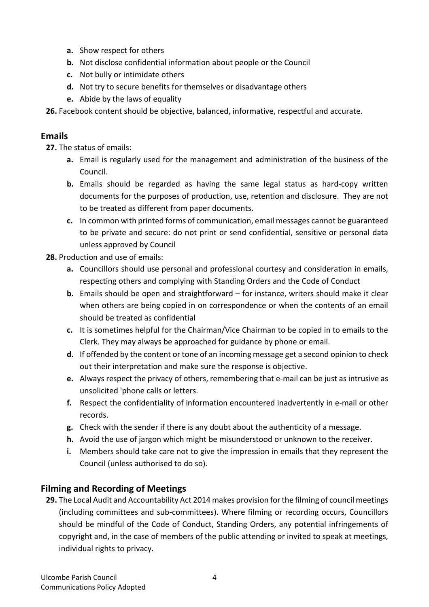- **a.** Show respect for others
- **b.** Not disclose confidential information about people or the Council
- **c.** Not bully or intimidate others
- **d.** Not try to secure benefits for themselves or disadvantage others
- **e.** Abide by the laws of equality

**26.** Facebook content should be objective, balanced, informative, respectful and accurate.

#### **Emails**

**27.** The status of emails:

- **a.** Email is regularly used for the management and administration of the business of the Council.
- **b.** Emails should be regarded as having the same legal status as hard-copy written documents for the purposes of production, use, retention and disclosure. They are not to be treated as different from paper documents.
- **c.** In common with printed forms of communication, email messages cannot be guaranteed to be private and secure: do not print or send confidential, sensitive or personal data unless approved by Council

**28.** Production and use of emails:

- **a.** Councillors should use personal and professional courtesy and consideration in emails, respecting others and complying with Standing Orders and the Code of Conduct
- **b.** Emails should be open and straightforward for instance, writers should make it clear when others are being copied in on correspondence or when the contents of an email should be treated as confidential
- **c.** It is sometimes helpful for the Chairman/Vice Chairman to be copied in to emails to the Clerk. They may always be approached for guidance by phone or email.
- **d.** If offended by the content or tone of an incoming message get a second opinion to check out their interpretation and make sure the response is objective.
- **e.** Always respect the privacy of others, remembering that e-mail can be just as intrusive as unsolicited 'phone calls or letters.
- **f.** Respect the confidentiality of information encountered inadvertently in e-mail or other records.
- **g.** Check with the sender if there is any doubt about the authenticity of a message.
- **h.** Avoid the use of jargon which might be misunderstood or unknown to the receiver.
- **i.** Members should take care not to give the impression in emails that they represent the Council (unless authorised to do so).

### **Filming and Recording of Meetings**

**29.** The Local Audit and Accountability Act 2014 makes provision forthe filming of council meetings (including committees and sub-committees). Where filming or recording occurs, Councillors should be mindful of the Code of Conduct, Standing Orders, any potential infringements of copyright and, in the case of members of the public attending or invited to speak at meetings, individual rights to privacy.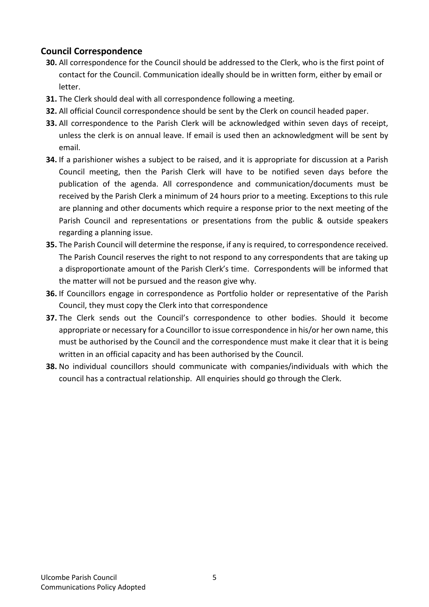## **Council Correspondence**

- **30.** All correspondence for the Council should be addressed to the Clerk, who is the first point of contact for the Council. Communication ideally should be in written form, either by email or letter.
- **31.** The Clerk should deal with all correspondence following a meeting.
- **32.** All official Council correspondence should be sent by the Clerk on council headed paper.
- **33.** All correspondence to the Parish Clerk will be acknowledged within seven days of receipt, unless the clerk is on annual leave. If email is used then an acknowledgment will be sent by email.
- **34.** If a parishioner wishes a subject to be raised, and it is appropriate for discussion at a Parish Council meeting, then the Parish Clerk will have to be notified seven days before the publication of the agenda. All correspondence and communication/documents must be received by the Parish Clerk a minimum of 24 hours prior to a meeting. Exceptions to this rule are planning and other documents which require a response prior to the next meeting of the Parish Council and representations or presentations from the public & outside speakers regarding a planning issue.
- **35.** The Parish Council will determine the response, if any is required, to correspondence received. The Parish Council reserves the right to not respond to any correspondents that are taking up a disproportionate amount of the Parish Clerk's time. Correspondents will be informed that the matter will not be pursued and the reason give why.
- **36.** If Councillors engage in correspondence as Portfolio holder or representative of the Parish Council, they must copy the Clerk into that correspondence
- **37.** The Clerk sends out the Council's correspondence to other bodies. Should it become appropriate or necessary for a Councillor to issue correspondence in his/or her own name, this must be authorised by the Council and the correspondence must make it clear that it is being written in an official capacity and has been authorised by the Council.
- **38.** No individual councillors should communicate with companies/individuals with which the council has a contractual relationship. All enquiries should go through the Clerk.